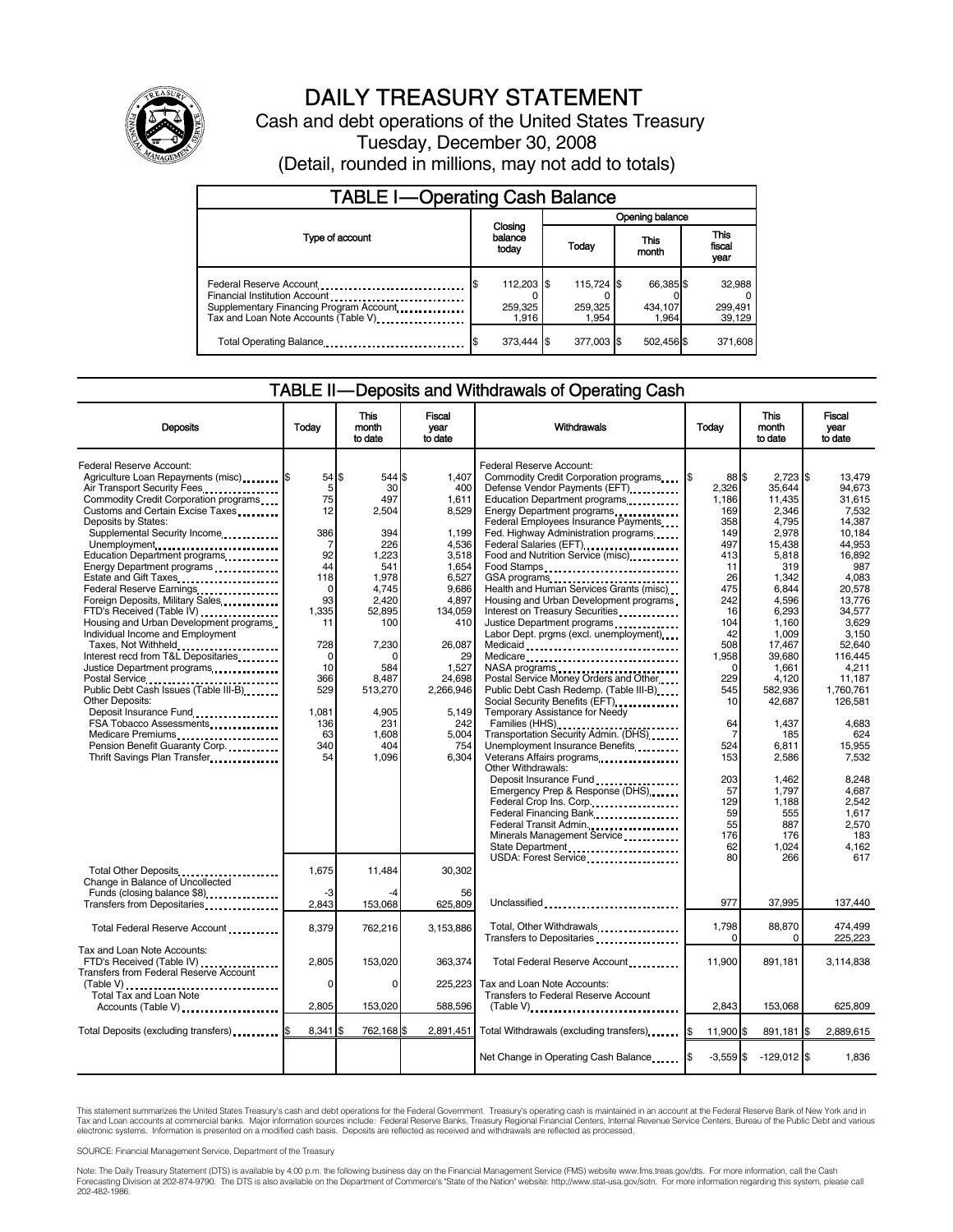

# DAILY TREASURY STATEMENT

Cash and debt operations of the United States Treasury Tuesday, December 30, 2008 (Detail, rounded in millions, may not add to totals)

| <b>TABLE I-Operating Cash Balance</b>                                                                                                       |     |                                |  |                                |               |                               |  |                               |
|---------------------------------------------------------------------------------------------------------------------------------------------|-----|--------------------------------|--|--------------------------------|---------------|-------------------------------|--|-------------------------------|
|                                                                                                                                             |     |                                |  | Opening balance                |               |                               |  |                               |
| Type of account                                                                                                                             |     | Closing<br>balance<br>today    |  | Today                          | This<br>month |                               |  | <b>This</b><br>fiscal<br>year |
| Federal Reserve Account<br>Financial Institution Account<br>Supplementary Financing Program Account<br>Tax and Loan Note Accounts (Table V) | I\$ | 112,203 \$<br>259.325<br>1.916 |  | 115,724 \$<br>259,325<br>1.954 |               | 66,385 \$<br>434.107<br>1.964 |  | 32,988<br>299,491<br>39.129   |
| Total Operating Balance                                                                                                                     |     | 373.444                        |  | 377.003 \$                     |               | 502,456 \$                    |  | 371,608                       |

### TABLE II — Deposits and Withdrawals of Operating Cash

| <b>Deposits</b>                                                                                                                                                                                                                                                                                                                                                                                                                                                                                                                                                                                                                                                                                                                                                                                                                                  | Todav                                                                                                                                                                   | <b>This</b><br>month<br>to date                                                                                                                                                       | <b>Fiscal</b><br>vear<br>to date                                                                                                                                                                         | Withdrawals                                                                                                                                                                                                                                                                                                                                                                                                                                                                                                                                                                                                                                                                                                                                                                                                                                                                                                                                                              | Today                                                                                                                                                                                   | <b>This</b><br>month<br>to date                                                                                                                                                                                                                 | <b>Fiscal</b><br>vear<br>to date                                                                                                                                                                                                                        |
|--------------------------------------------------------------------------------------------------------------------------------------------------------------------------------------------------------------------------------------------------------------------------------------------------------------------------------------------------------------------------------------------------------------------------------------------------------------------------------------------------------------------------------------------------------------------------------------------------------------------------------------------------------------------------------------------------------------------------------------------------------------------------------------------------------------------------------------------------|-------------------------------------------------------------------------------------------------------------------------------------------------------------------------|---------------------------------------------------------------------------------------------------------------------------------------------------------------------------------------|----------------------------------------------------------------------------------------------------------------------------------------------------------------------------------------------------------|--------------------------------------------------------------------------------------------------------------------------------------------------------------------------------------------------------------------------------------------------------------------------------------------------------------------------------------------------------------------------------------------------------------------------------------------------------------------------------------------------------------------------------------------------------------------------------------------------------------------------------------------------------------------------------------------------------------------------------------------------------------------------------------------------------------------------------------------------------------------------------------------------------------------------------------------------------------------------|-----------------------------------------------------------------------------------------------------------------------------------------------------------------------------------------|-------------------------------------------------------------------------------------------------------------------------------------------------------------------------------------------------------------------------------------------------|---------------------------------------------------------------------------------------------------------------------------------------------------------------------------------------------------------------------------------------------------------|
| Federal Reserve Account:<br>Agriculture Loan Repayments (misc) <b>\$</b><br>Air Transport Security Fees.<br>Commodity Credit Corporation programs<br>Customs and Certain Excise Taxes<br>Deposits by States:<br>Supplemental Security Income<br>Unemployment<br>Education Department programs<br>Energy Department programs<br>Estate and Gift Taxes<br>Federal Reserve Earnings<br>Foreign Deposits, Military Sales<br>FTD's Received (Table IV)<br>Housing and Urban Development programs<br>Individual Income and Employment<br>Taxes, Not Withheld<br>.<br>Interest recd from T&L Depositaries<br>Justice Department programs<br>Public Debt Cash Issues (Table III-B)<br><b>Other Deposits:</b><br>Deposit Insurance Fund<br>FSA Tobacco Assessments<br>Medicare Premiums<br>Pension Benefit Guaranty Corp.<br>Thrift Savings Plan Transfer | $54$ S<br>5<br>75<br>12<br>386<br>7<br>92<br>44<br>118<br>$\mathbf 0$<br>93<br>1,335<br>11<br>728<br>$\mathbf 0$<br>10<br>366<br>529<br>1.081<br>136<br>63<br>340<br>54 | 544<br>30<br>497<br>2,504<br>394<br>226<br>1,223<br>541<br>1,978<br>4,745<br>2,420<br>52,895<br>100<br>7,230<br>n<br>584<br>8.487<br>513,270<br>4.905<br>231<br>1,608<br>404<br>1,096 | 1.407<br>400<br>1,611<br>8,529<br>1.199<br>4,536<br>3,518<br>1,654<br>6,527<br>9,686<br>4,897<br>134,059<br>410<br>26,087<br>29<br>1,527<br>24.698<br>2,266,946<br>5.149<br>242<br>5,004<br>754<br>6,304 | Federal Reserve Account:<br>Commodity Credit Corporation programs<br>Defense Vendor Payments (EFT)<br>Education Department programs<br>Energy Department programs<br>Federal Employees Insurance Payments<br>Fed. Highway Administration programs<br>Federal Salaries (EFT)<br>Food and Nutrition Service (misc) <b>Food</b> and Nutrition Service (misc)<br>Food Stamps<br>GSA programs<br>Health and Human Services Grants (misc)<br>Housing and Urban Development programs<br>Interest on Treasury Securities <b>Constants</b><br>Justice Department programs<br>Labor Dept. prgms (excl. unemployment)<br>Medicare<br>NASA programs<br>Postal Service Money Orders and Other<br>Public Debt Cash Redemp. (Table III-B)<br>Social Security Benefits (EFT)<br>Temporary Assistance for Needy<br>Families (HHS)<br>Transportation Security Admin. (DHS)<br>Unemployment Insurance Benefits<br>Veterans Affairs programs<br>Other Withdrawals:<br>Deposit Insurance Fund | 88 \$<br>2.326<br>1,186<br>169<br>358<br>149<br>497<br>413<br>11<br>26<br>475<br>242<br>16<br>104<br>42<br>508<br>1,958<br>$\Omega$<br>229<br>545<br>10<br>64<br>7<br>524<br>153<br>203 | $2.723$ \$<br>35,644<br>11,435<br>2,346<br>4,795<br>2,978<br>15,438<br>5,818<br>319<br>1,342<br>6,844<br>4,596<br>6,293<br>1,160<br>1,009<br>17,467<br>39,680<br>1,661<br>4,120<br>582,936<br>42,687<br>1,437<br>185<br>6,811<br>2,586<br>1.462 | 13.479<br>94,673<br>31,615<br>7,532<br>14,387<br>10.184<br>44.953<br>16.892<br>987<br>4,083<br>20,578<br>13.776<br>34,577<br>3.629<br>3.150<br>52.640<br>116,445<br>4,211<br>11,187<br>1.760.761<br>126.581<br>4,683<br>624<br>15,955<br>7,532<br>8.248 |
| Total Other Deposits<br>Change in Balance of Uncollected                                                                                                                                                                                                                                                                                                                                                                                                                                                                                                                                                                                                                                                                                                                                                                                         | 1.675                                                                                                                                                                   | 11,484                                                                                                                                                                                | 30,302                                                                                                                                                                                                   | Emergency Prep & Response (DHS)<br>Federal Crop Ins. Corp.<br>Federal Financing Bank<br>Federal Transit Admin.<br>Minerals Management Service<br>USDA: Forest Service                                                                                                                                                                                                                                                                                                                                                                                                                                                                                                                                                                                                                                                                                                                                                                                                    | 57<br>129<br>59<br>55<br>176<br>62<br>80                                                                                                                                                | 1.797<br>1,188<br>555<br>887<br>176<br>1.024<br>266                                                                                                                                                                                             | 4.687<br>2,542<br>1.617<br>2,570<br>183<br>4.162<br>617                                                                                                                                                                                                 |
| Funds (closing balance \$8)<br>Transfers from Depositaries                                                                                                                                                                                                                                                                                                                                                                                                                                                                                                                                                                                                                                                                                                                                                                                       | -3<br>2,843                                                                                                                                                             | -4<br>153,068                                                                                                                                                                         | 56<br>625,809                                                                                                                                                                                            | Unclassified                                                                                                                                                                                                                                                                                                                                                                                                                                                                                                                                                                                                                                                                                                                                                                                                                                                                                                                                                             | 977                                                                                                                                                                                     | 37.995                                                                                                                                                                                                                                          | 137,440                                                                                                                                                                                                                                                 |
| Total Federal Reserve Account                                                                                                                                                                                                                                                                                                                                                                                                                                                                                                                                                                                                                                                                                                                                                                                                                    | 8,379                                                                                                                                                                   | 762,216                                                                                                                                                                               | 3.153.886                                                                                                                                                                                                | Total, Other Withdrawals<br>Transfers to Depositaries                                                                                                                                                                                                                                                                                                                                                                                                                                                                                                                                                                                                                                                                                                                                                                                                                                                                                                                    | 1,798<br>$\Omega$                                                                                                                                                                       | 88,870<br>0                                                                                                                                                                                                                                     | 474.499<br>225,223                                                                                                                                                                                                                                      |
| Tax and Loan Note Accounts:<br>FTD's Received (Table IV)<br><b>Transfers from Federal Reserve Account</b><br>$(Table V)$                                                                                                                                                                                                                                                                                                                                                                                                                                                                                                                                                                                                                                                                                                                         | 2,805<br>0                                                                                                                                                              | 153.020<br>0                                                                                                                                                                          | 363.374<br>225,223                                                                                                                                                                                       | Total Federal Reserve Account<br>Tax and Loan Note Accounts:                                                                                                                                                                                                                                                                                                                                                                                                                                                                                                                                                                                                                                                                                                                                                                                                                                                                                                             | 11.900                                                                                                                                                                                  | 891.181                                                                                                                                                                                                                                         | 3,114,838                                                                                                                                                                                                                                               |
| Total Tax and Loan Note<br>Accounts (Table V)                                                                                                                                                                                                                                                                                                                                                                                                                                                                                                                                                                                                                                                                                                                                                                                                    | 2,805                                                                                                                                                                   | 153,020                                                                                                                                                                               | 588,596                                                                                                                                                                                                  | <b>Transfers to Federal Reserve Account</b><br>$(Table V)$ , $\ldots$ , $\ldots$ , $\ldots$ , $\ldots$ , $\ldots$ , $\ldots$ , $\ldots$ , $\ldots$ , $\ldots$                                                                                                                                                                                                                                                                                                                                                                                                                                                                                                                                                                                                                                                                                                                                                                                                            | 2,843                                                                                                                                                                                   | 153,068                                                                                                                                                                                                                                         | 625,809                                                                                                                                                                                                                                                 |
| Total Deposits (excluding transfers)                                                                                                                                                                                                                                                                                                                                                                                                                                                                                                                                                                                                                                                                                                                                                                                                             | $8.341$ \$                                                                                                                                                              | 762,168 \$                                                                                                                                                                            | 2.891.451                                                                                                                                                                                                | Total Withdrawals (excluding transfers)                                                                                                                                                                                                                                                                                                                                                                                                                                                                                                                                                                                                                                                                                                                                                                                                                                                                                                                                  | 11,900 \$                                                                                                                                                                               | 891,181 \$                                                                                                                                                                                                                                      | 2,889,615                                                                                                                                                                                                                                               |
|                                                                                                                                                                                                                                                                                                                                                                                                                                                                                                                                                                                                                                                                                                                                                                                                                                                  |                                                                                                                                                                         |                                                                                                                                                                                       |                                                                                                                                                                                                          | Net Change in Operating Cash Balance                                                                                                                                                                                                                                                                                                                                                                                                                                                                                                                                                                                                                                                                                                                                                                                                                                                                                                                                     | $-3.559$ \$                                                                                                                                                                             | $-129.012$ \$                                                                                                                                                                                                                                   | 1.836                                                                                                                                                                                                                                                   |

This statement summarizes the United States Treasury's cash and debt operations for the Federal Government. Treasury's operating cash is maintained in an account at the Federal Reserve Bank of New York and in<br>Tax and Loan

SOURCE: Financial Management Service, Department of the Treasury

Note: The Daily Treasury Statement (DTS) is available by 4:00 p.m. the following business day on the Financial Management Service (FMS) website www.fms.treas.gov/dts. For more information, call the Cash<br>Forecasting Divisio eas.gov/dts. F<br>For more infor